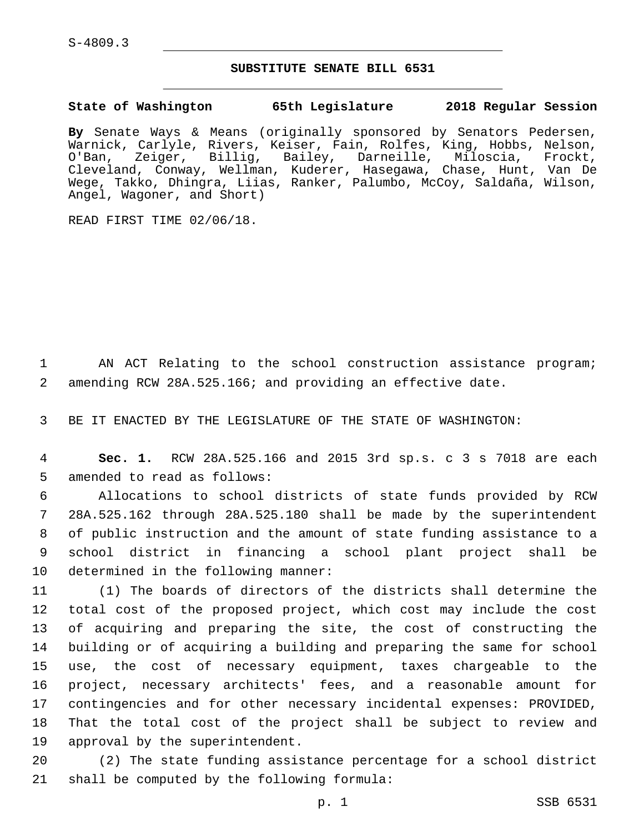S-4809.3

## **SUBSTITUTE SENATE BILL 6531**

**State of Washington 65th Legislature 2018 Regular Session**

**By** Senate Ways & Means (originally sponsored by Senators Pedersen, Warnick, Carlyle, Rivers, Keiser, Fain, Rolfes, King, Hobbs, Nelson, O'Ban, Zeiger, Billig, Bailey, Darneille, Miloscia, Frockt, Cleveland, Conway, Wellman, Kuderer, Hasegawa, Chase, Hunt, Van De Wege, Takko, Dhingra, Liias, Ranker, Palumbo, McCoy, Saldaña, Wilson, Angel, Wagoner, and Short)

READ FIRST TIME 02/06/18.

1 AN ACT Relating to the school construction assistance program; 2 amending RCW 28A.525.166; and providing an effective date.

3 BE IT ENACTED BY THE LEGISLATURE OF THE STATE OF WASHINGTON:

4 **Sec. 1.** RCW 28A.525.166 and 2015 3rd sp.s. c 3 s 7018 are each 5 amended to read as follows:

 Allocations to school districts of state funds provided by RCW 28A.525.162 through 28A.525.180 shall be made by the superintendent of public instruction and the amount of state funding assistance to a school district in financing a school plant project shall be 10 determined in the following manner:

 (1) The boards of directors of the districts shall determine the total cost of the proposed project, which cost may include the cost of acquiring and preparing the site, the cost of constructing the building or of acquiring a building and preparing the same for school use, the cost of necessary equipment, taxes chargeable to the project, necessary architects' fees, and a reasonable amount for contingencies and for other necessary incidental expenses: PROVIDED, That the total cost of the project shall be subject to review and 19 approval by the superintendent.

20 (2) The state funding assistance percentage for a school district 21 shall be computed by the following formula: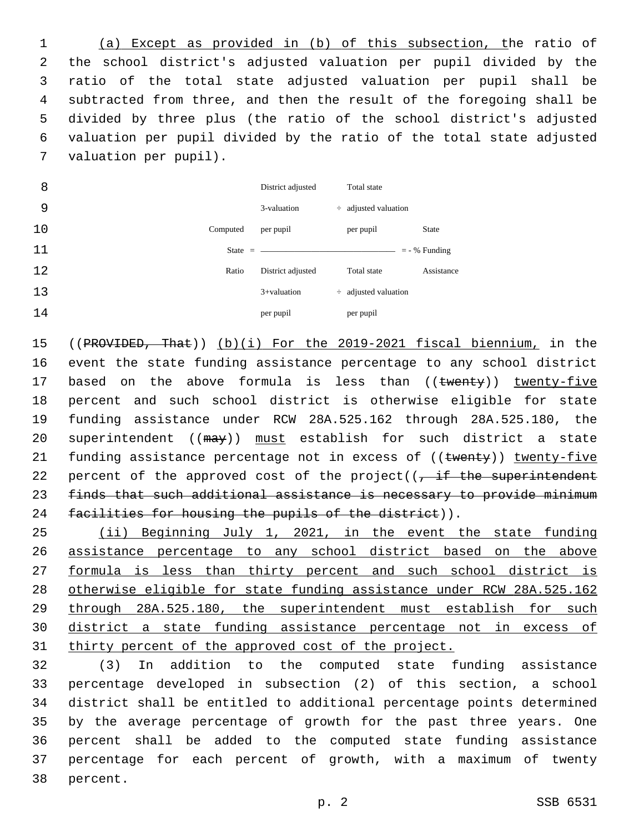(a) Except as provided in (b) of this subsection, the ratio of the school district's adjusted valuation per pupil divided by the ratio of the total state adjusted valuation per pupil shall be subtracted from three, and then the result of the foregoing shall be divided by three plus (the ratio of the school district's adjusted valuation per pupil divided by the ratio of the total state adjusted 7 valuation per pupil).

| 8  |          | District adjusted                              | Total state               |                 |
|----|----------|------------------------------------------------|---------------------------|-----------------|
| 9  |          | 3-valuation                                    | $\div$ adjusted valuation |                 |
| 10 | Computed | per pupil                                      | per pupil                 | <b>State</b>    |
| 11 |          | State $=$ $\frac{\phantom{1}}{2\text{ rad/s}}$ |                           | $=$ - % Funding |
| 12 | Ratio    | District adjusted                              | Total state               | Assistance      |
| 13 |          | 3+valuation                                    | $\div$ adjusted valuation |                 |
| 14 |          | per pupil                                      | per pupil                 |                 |

15 ((PROVIDED, That)) (b)(i) For the 2019-2021 fiscal biennium, in the 16 event the state funding assistance percentage to any school district 17 based on the above formula is less than ((twenty)) twenty-five 18 percent and such school district is otherwise eligible for state 19 funding assistance under RCW 28A.525.162 through 28A.525.180, the 20 superintendent ((may)) must establish for such district a state 21 funding assistance percentage not in excess of ((twenty)) twenty-five 22 percent of the approved cost of the project( $\left(-\frac{1}{2}, \frac{1}{2}\right)$  the superintendent 23 finds that such additional assistance is necessary to provide minimum 24 facilities for housing the pupils of the district)).

 (ii) Beginning July 1, 2021, in the event the state funding assistance percentage to any school district based on the above 27 formula is less than thirty percent and such school district is otherwise eligible for state funding assistance under RCW 28A.525.162 through 28A.525.180, the superintendent must establish for such district a state funding assistance percentage not in excess of thirty percent of the approved cost of the project.

 (3) In addition to the computed state funding assistance percentage developed in subsection (2) of this section, a school district shall be entitled to additional percentage points determined by the average percentage of growth for the past three years. One percent shall be added to the computed state funding assistance percentage for each percent of growth, with a maximum of twenty 38 percent.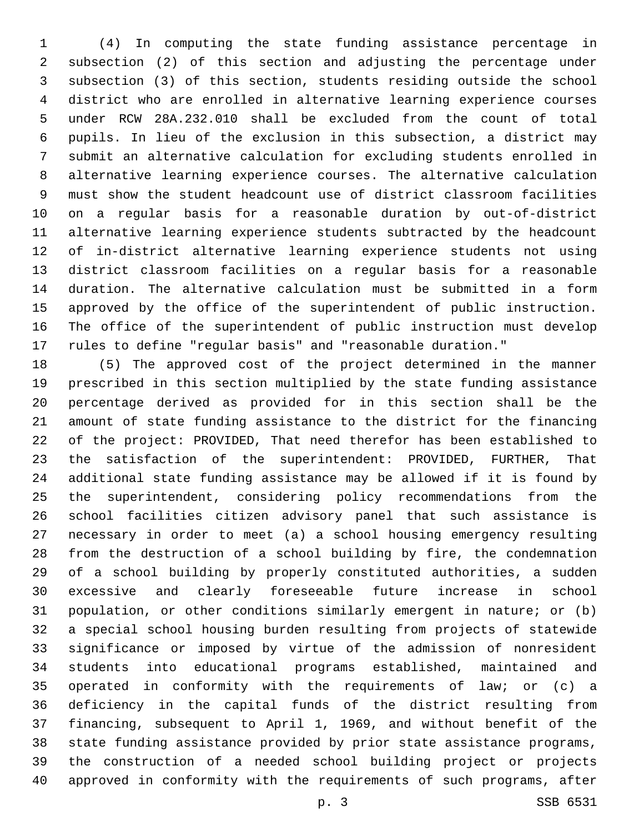(4) In computing the state funding assistance percentage in subsection (2) of this section and adjusting the percentage under subsection (3) of this section, students residing outside the school district who are enrolled in alternative learning experience courses under RCW 28A.232.010 shall be excluded from the count of total pupils. In lieu of the exclusion in this subsection, a district may submit an alternative calculation for excluding students enrolled in alternative learning experience courses. The alternative calculation must show the student headcount use of district classroom facilities on a regular basis for a reasonable duration by out-of-district alternative learning experience students subtracted by the headcount of in-district alternative learning experience students not using district classroom facilities on a regular basis for a reasonable duration. The alternative calculation must be submitted in a form approved by the office of the superintendent of public instruction. The office of the superintendent of public instruction must develop rules to define "regular basis" and "reasonable duration."

 (5) The approved cost of the project determined in the manner prescribed in this section multiplied by the state funding assistance percentage derived as provided for in this section shall be the amount of state funding assistance to the district for the financing of the project: PROVIDED, That need therefor has been established to the satisfaction of the superintendent: PROVIDED, FURTHER, That additional state funding assistance may be allowed if it is found by the superintendent, considering policy recommendations from the school facilities citizen advisory panel that such assistance is necessary in order to meet (a) a school housing emergency resulting from the destruction of a school building by fire, the condemnation of a school building by properly constituted authorities, a sudden excessive and clearly foreseeable future increase in school population, or other conditions similarly emergent in nature; or (b) a special school housing burden resulting from projects of statewide significance or imposed by virtue of the admission of nonresident students into educational programs established, maintained and operated in conformity with the requirements of law; or (c) a deficiency in the capital funds of the district resulting from financing, subsequent to April 1, 1969, and without benefit of the state funding assistance provided by prior state assistance programs, the construction of a needed school building project or projects approved in conformity with the requirements of such programs, after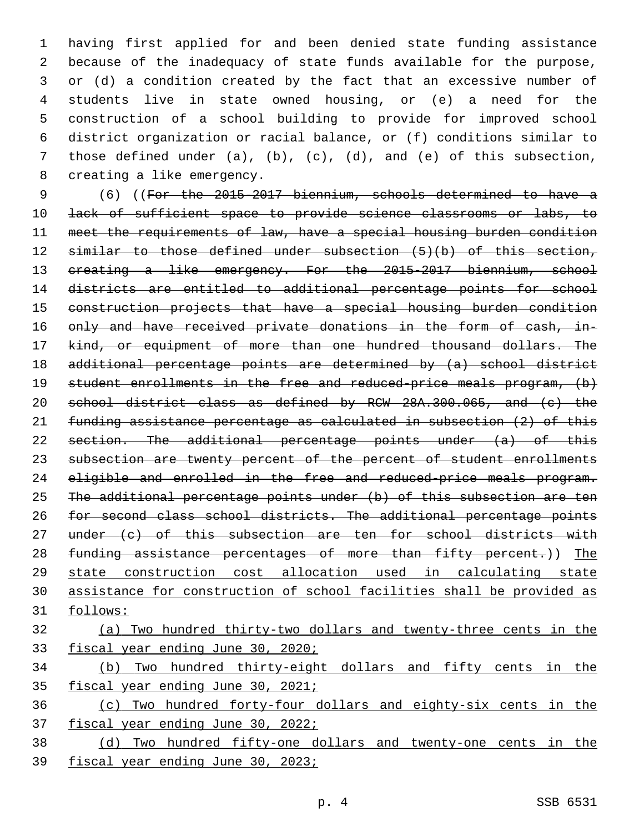having first applied for and been denied state funding assistance because of the inadequacy of state funds available for the purpose, or (d) a condition created by the fact that an excessive number of students live in state owned housing, or (e) a need for the construction of a school building to provide for improved school district organization or racial balance, or (f) conditions similar to those defined under (a), (b), (c), (d), and (e) of this subsection, 8 creating a like emergency.

 (6) ((For the 2015-2017 biennium, schools determined to have a lack of sufficient space to provide science classrooms or labs, to meet the requirements of law, have a special housing burden condition 12 similar to those defined under subsection (5)(b) of this section, creating a like emergency. For the 2015-2017 biennium, school 14 districts are entitled to additional percentage points for school construction projects that have a special housing burden condition only and have received private donations in the form of cash, in-17 kind, or equipment of more than one hundred thousand dollars. The additional percentage points are determined by (a) school district student enrollments in the free and reduced-price meals program, (b) school district class as defined by RCW 28A.300.065, and (c) the funding assistance percentage as calculated in subsection (2) of this section. The additional percentage points under (a) of this 23 subsection are twenty percent of the percent of student enrollments 24 eligible and enrolled in the free and reduced-price meals program. The additional percentage points under (b) of this subsection are ten for second class school districts. The additional percentage points 27 under (c) of this subsection are ten for school districts with 28 funding assistance percentages of more than fifty percent.)) The state construction cost allocation used in calculating state assistance for construction of school facilities shall be provided as follows:

## (a) Two hundred thirty-two dollars and twenty-three cents in the fiscal year ending June 30, 2020;

- (b) Two hundred thirty-eight dollars and fifty cents in the fiscal year ending June 30, 2021; (c) Two hundred forty-four dollars and eighty-six cents in the
- fiscal year ending June 30, 2022;
- (d) Two hundred fifty-one dollars and twenty-one cents in the fiscal year ending June 30, 2023;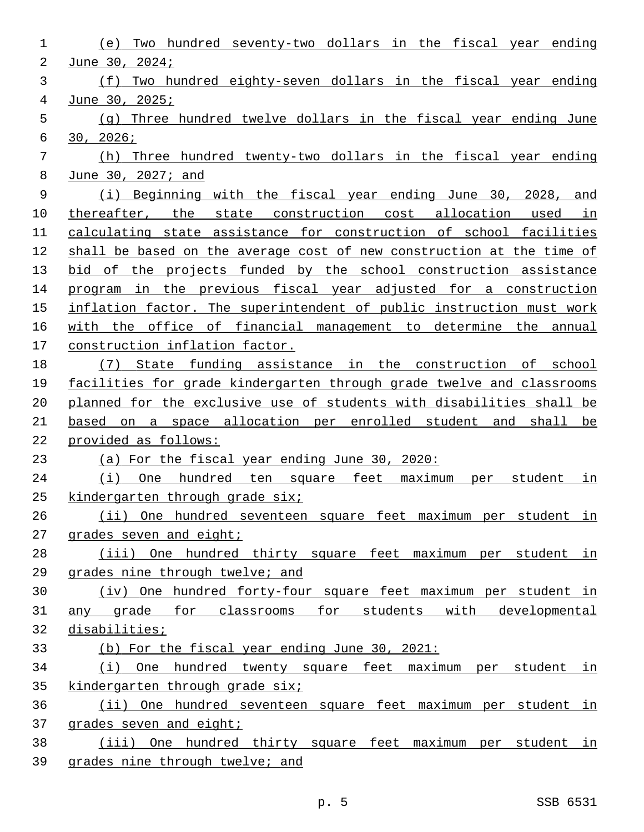| 1  | Two hundred seventy-two dollars in the fiscal year ending<br>(e)      |
|----|-----------------------------------------------------------------------|
| 2  | June 30, 2024;                                                        |
| 3  | (f) Two hundred eighty-seven dollars in the fiscal year ending        |
| 4  | June 30, 2025;                                                        |
| 5  | (g) Three hundred twelve dollars in the fiscal year ending June       |
| 6  | 30, 2026;                                                             |
| 7  | (h) Three hundred twenty-two dollars in the fiscal year ending        |
| 8  | June 30, 2027; and                                                    |
| 9  | (i) Beginning with the fiscal year ending June 30, 2028, and          |
| 10 | thereafter, the state construction cost allocation used in            |
| 11 | calculating state assistance for construction of school facilities    |
| 12 | shall be based on the average cost of new construction at the time of |
| 13 | bid of the projects funded by the school construction assistance      |
| 14 | program in the previous fiscal year adjusted for a construction       |
| 15 | inflation factor. The superintendent of public instruction must work  |
| 16 | with the office of financial management to determine the annual       |
| 17 | construction inflation factor.                                        |
| 18 | (7) State funding assistance in the construction of school            |
| 19 | facilities for grade kindergarten through grade twelve and classrooms |
| 20 | planned for the exclusive use of students with disabilities shall be  |
| 21 | based on a space allocation per enrolled student and shall be         |
| 22 | provided as follows:                                                  |
| 23 | (a) For the fiscal year ending June 30, 2020:                         |
| 24 | One hundred ten square feet maximum<br>(i)<br>student<br>in<br>per    |
| 25 | kindergarten through grade six;                                       |
| 26 | (ii) One hundred seventeen square feet maximum per student in         |
| 27 | grades seven and eight;                                               |
| 28 | (iii) One hundred thirty square feet maximum per student in           |
| 29 | grades nine through twelve; and                                       |
| 30 | (iv) One hundred forty-four square feet maximum per student in        |
| 31 | any grade for classrooms for students with developmental              |
| 32 | disabilities;                                                         |
| 33 | (b) For the fiscal year ending June 30, 2021:                         |
| 34 | (i) One hundred twenty square feet maximum per student in             |
| 35 | kindergarten through grade six;                                       |
| 36 | (ii) One hundred seventeen square feet maximum per student in         |
| 37 | grades seven and eight;                                               |
| 38 | (iii) One hundred thirty square feet maximum per student in           |
| 39 | grades nine through twelve; and                                       |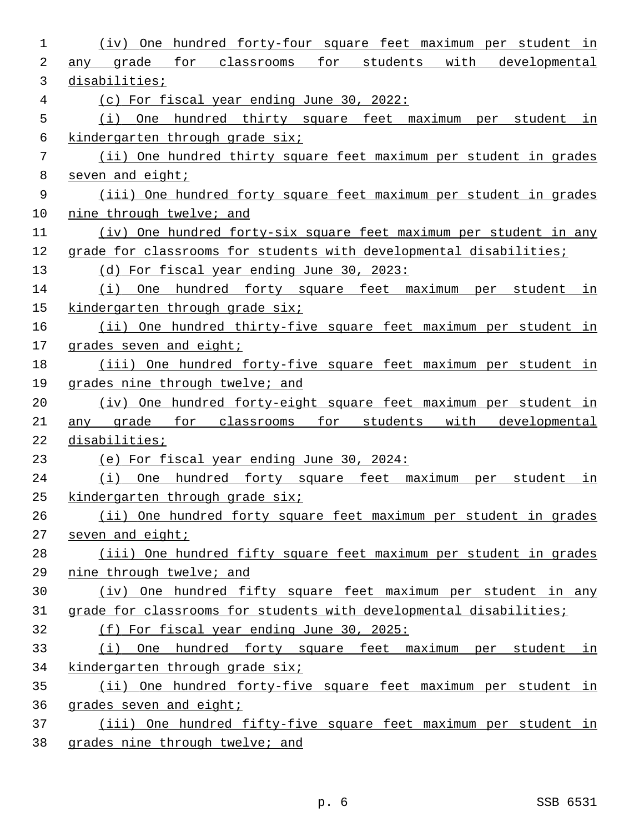| 1  | One hundred forty-four square feet maximum per student in<br>$(i\vee)$ |
|----|------------------------------------------------------------------------|
| 2  | for students with developmental<br>qrade<br>for classrooms<br>any      |
| 3  | disabilities;                                                          |
| 4  | (c) For fiscal year ending June 30, 2022:                              |
| 5  | (i) One hundred thirty square feet maximum per student in              |
| 6  | kindergarten through grade six;                                        |
| 7  | (ii) One hundred thirty square feet maximum per student in grades      |
| 8  | seven and eight;                                                       |
| 9  | (iii) One hundred forty square feet maximum per student in grades      |
| 10 | nine through twelve; and                                               |
| 11 | (iv) One hundred forty-six square feet maximum per student in any      |
| 12 | grade for classrooms for students with developmental disabilities;     |
| 13 | (d) For fiscal year ending June 30, 2023:                              |
| 14 | One hundred forty square feet maximum per student<br>(i)<br>in         |
| 15 | kindergarten through grade six;                                        |
| 16 | (ii) One hundred thirty-five square feet maximum per student in        |
| 17 | grades seven and eight;                                                |
| 18 | (iii) One hundred forty-five square feet maximum per student in        |
| 19 | grades nine through twelve; and                                        |
| 20 | (iv) One hundred forty-eight square feet maximum per student in        |
| 21 | grade for classrooms for students with developmental<br>any            |
| 22 | disabilities;                                                          |
| 23 | (e) For fiscal year ending June 30, 2024:                              |
| 24 | One hundred forty square feet maximum per<br>student<br>(i)<br>in      |
| 25 | kindergarten through grade six;                                        |
| 26 | (ii) One hundred forty square feet maximum per student in grades       |
| 27 | seven and eight;                                                       |
| 28 | (iii) One hundred fifty square feet maximum per student in grades      |
| 29 | nine through twelve; and                                               |
| 30 | (iv) One hundred fifty square feet maximum per student in any          |
| 31 | grade for classrooms for students with developmental disabilities;     |
| 32 | (f) For fiscal year ending June 30, 2025:                              |
| 33 | One hundred forty square feet maximum per student in<br>(i)            |
| 34 | kindergarten through grade six;                                        |
| 35 | (ii) One hundred forty-five square feet maximum per student in         |
| 36 | grades seven and eight;                                                |
| 37 | (iii) One hundred fifty-five square feet maximum per student in        |
| 38 | grades nine through twelve; and                                        |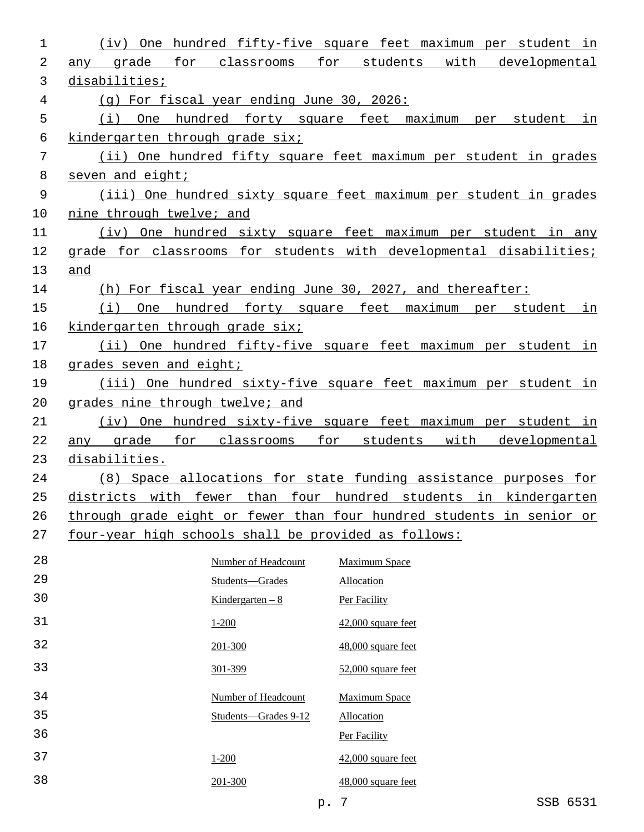| 1              | (iv) One hundred fifty-five square feet maximum per student in       |  |
|----------------|----------------------------------------------------------------------|--|
| 2              | any grade for classrooms for students with developmental             |  |
| 3              | disabilities;                                                        |  |
| $\overline{4}$ | (g) For fiscal year ending June 30, 2026:                            |  |
| 5              | (i) One hundred forty square feet maximum per student in             |  |
| 6              | kindergarten through grade six;                                      |  |
| 7              | (ii) One hundred fifty square feet maximum per student in grades     |  |
| 8              | seven and eight;                                                     |  |
| 9              | (iii) One hundred sixty square feet maximum per student in grades    |  |
| 10             | nine through twelve; and                                             |  |
| 11             | (iv) One hundred sixty square feet maximum per student in any        |  |
| 12             | grade for classrooms for students with developmental disabilities;   |  |
| 13             | and                                                                  |  |
| 14             | (h) For fiscal year ending June 30, 2027, and thereafter:            |  |
| 15             | One hundred forty square feet maximum per student in<br>(i)          |  |
| 16             | kindergarten through grade six;                                      |  |
| 17             | (ii) One hundred fifty-five square feet maximum per student in       |  |
| 18             | grades seven and eight;                                              |  |
| 19             | (iii) One hundred sixty-five square feet maximum per student in      |  |
| 20             | grades nine through twelve; and                                      |  |
| 21             | (iv) One hundred sixty-five square feet maximum per student in       |  |
| 22             | any grade for classrooms for students with developmental             |  |
| 23             | disabilities.                                                        |  |
| 24             | (8) Space allocations for state funding assistance purposes for      |  |
| 25             | districts with fewer than four hundred students in kindergarten      |  |
| 26             | through grade eight or fewer than four hundred students in senior or |  |
| 27             | four-year high schools shall be provided as follows:                 |  |
| 28             | Number of Headcount<br><b>Maximum Space</b>                          |  |
| 29             | Students-Grades<br>Allocation                                        |  |
| 30             | Kindergarten $-8$<br>Per Facility                                    |  |
| 31             | 42,000 square feet<br>$1 - 200$                                      |  |
| 32             | 48,000 square feet<br>201-300                                        |  |
| 33             | 52,000 square feet<br>301-399                                        |  |
| 34             | Number of Headcount<br><b>Maximum Space</b>                          |  |
| 35             | Students-Grades 9-12<br>Allocation                                   |  |
| 36             | Per Facility                                                         |  |
| 37             | 42,000 square feet<br>$1 - 200$                                      |  |
| 38             | 48,000 square feet<br>201-300                                        |  |